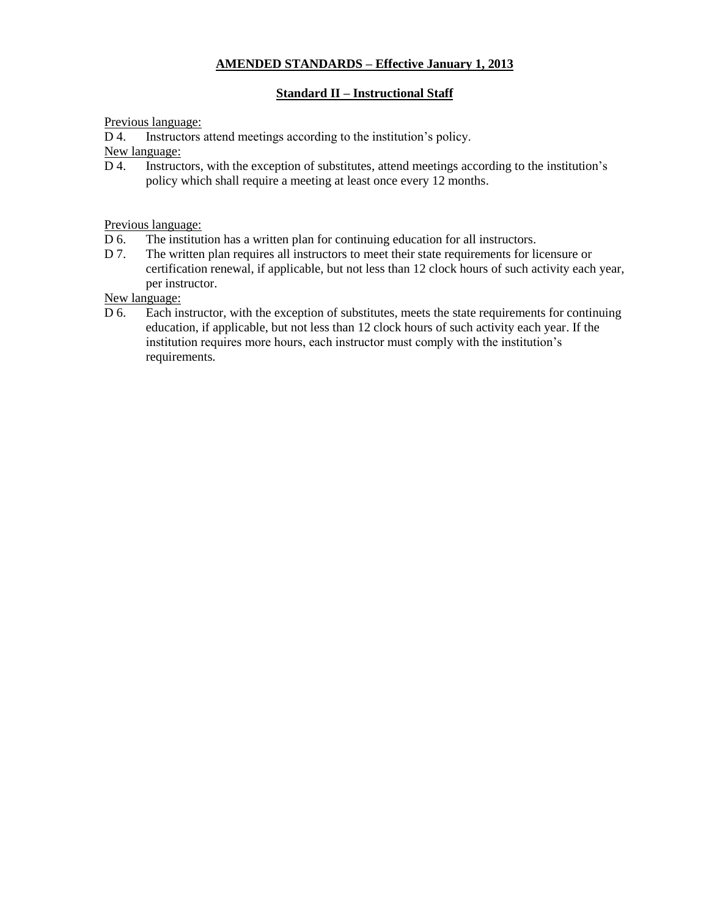### **AMENDED STANDARDS – Effective January 1, 2013**

### **Standard II – Instructional Staff**

#### Previous language:

D 4. Instructors attend meetings according to the institution's policy.

New language:

D 4. Instructors, with the exception of substitutes, attend meetings according to the institution's policy which shall require a meeting at least once every 12 months.

Previous language:

- D 6. The institution has a written plan for continuing education for all instructors.
- D 7. The written plan requires all instructors to meet their state requirements for licensure or certification renewal, if applicable, but not less than 12 clock hours of such activity each year, per instructor.

New language:

D 6. Each instructor, with the exception of substitutes, meets the state requirements for continuing education, if applicable, but not less than 12 clock hours of such activity each year. If the institution requires more hours, each instructor must comply with the institution's requirements.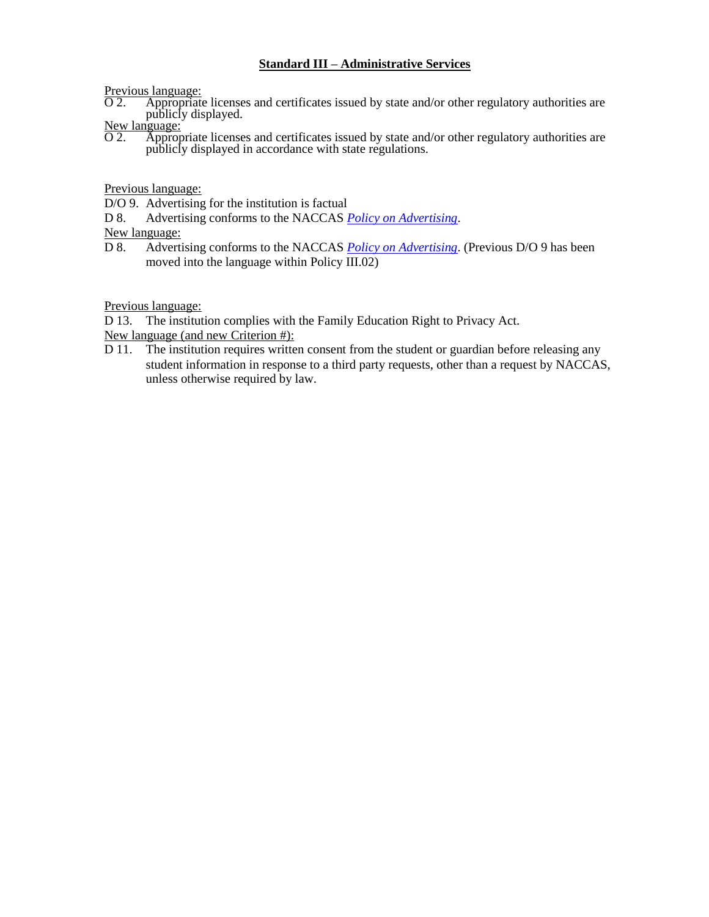### **Standard III – Administrative Services**

Previous language:

O 2. Appropriate licenses and certificates issued by state and/or other regulatory authorities are publicly displayed.

New language:<br>O 2. Approp

Appropriate licenses and certificates issued by state and/or other regulatory authorities are publicly displayed in accordance with state regulations.

Previous language:

D/O 9. Advertising for the institution is factual

D 8. Advertising conforms to the NACCAS *Policy on Advertising*.

New language:

D 8. Advertising conforms to the NACCAS *Policy on Advertising*. (Previous D/O 9 has been moved into the language within Policy III.02)

Previous language:

D 13. The institution complies with the Family Education Right to Privacy Act.

New language (and new Criterion #):

D 11. The institution requires written consent from the student or guardian before releasing any student information in response to a third party requests, other than a request by NACCAS, unless otherwise required by law.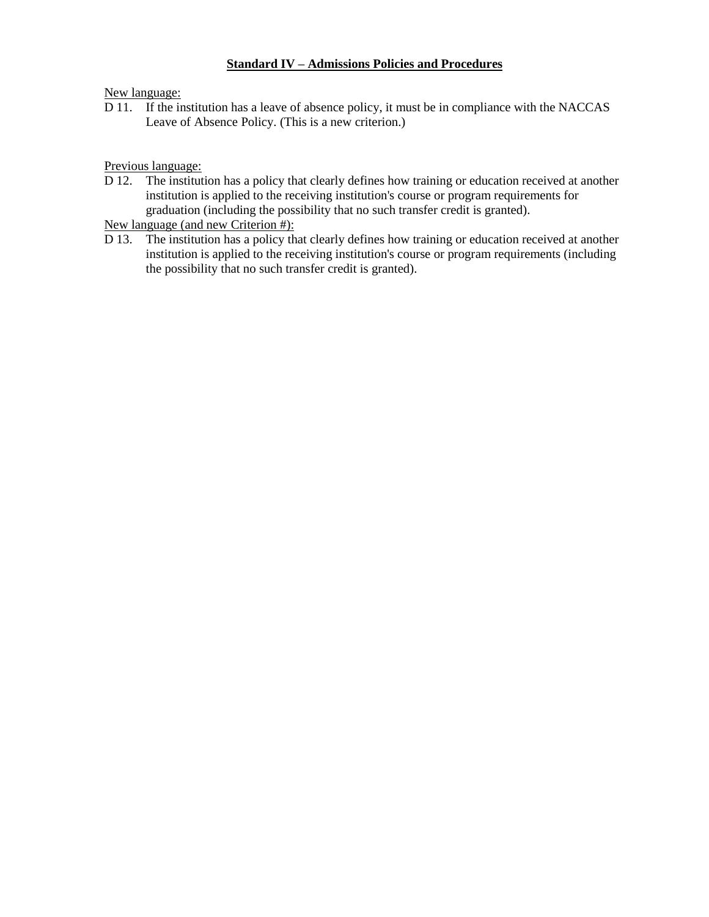### **Standard IV – Admissions Policies and Procedures**

New language:

D 11. If the institution has a leave of absence policy, it must be in compliance with the NACCAS Leave of Absence Policy. (This is a new criterion.)

Previous language:

D 12. The institution has a policy that clearly defines how training or education received at another institution is applied to the receiving institution's course or program requirements for graduation (including the possibility that no such transfer credit is granted).

New language (and new Criterion #):

D 13. The institution has a policy that clearly defines how training or education received at another institution is applied to the receiving institution's course or program requirements (including the possibility that no such transfer credit is granted).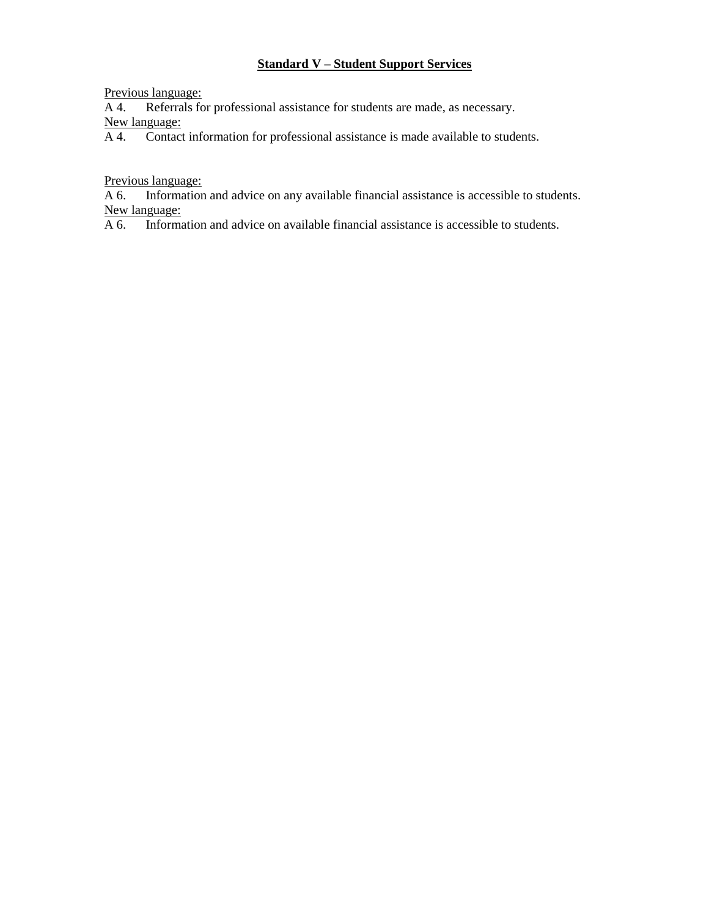# **Standard V – Student Support Services**

Previous language:

A 4. Referrals for professional assistance for students are made, as necessary.

New language:

A 4. Contact information for professional assistance is made available to students.

Previous language:

A 6. Information and advice on any available financial assistance is accessible to students. New language:

A 6. Information and advice on available financial assistance is accessible to students.